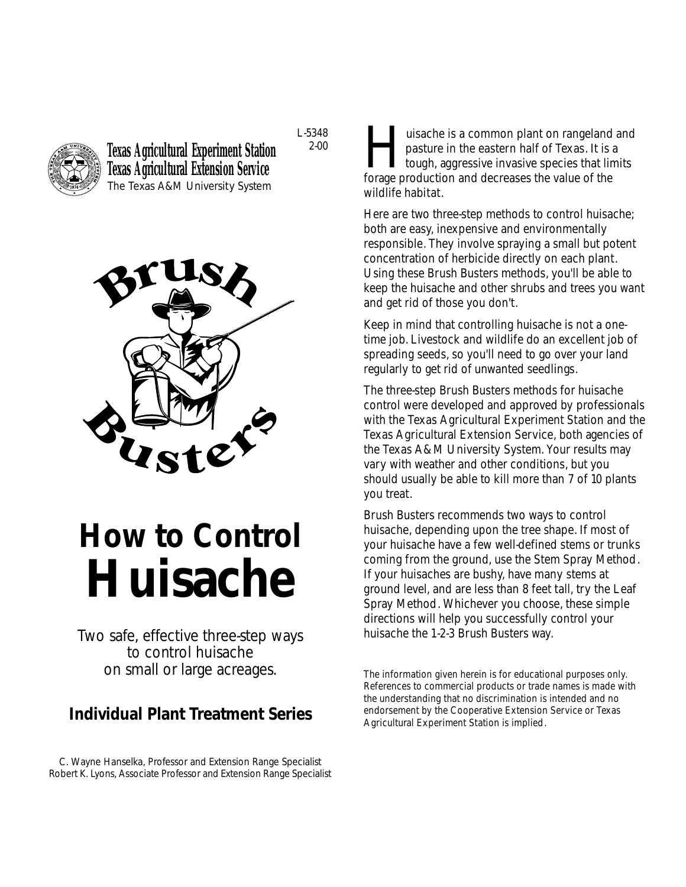

**Texas Agricultural Experiment Station Texas Agricultural Extension Service** The Texas A&M University System

L-5348 2-00



# **How to Control Huisache**

*Two safe, effective three-step ways to control huisache on small or large acreages.*

## **Individual Plant Treatment Series**

C. Wayne Hanselka, Professor and Extension Range Specialist Robert K. Lyons, Associate Professor and Extension Range Specialist

**Huisache is a common plant on rangeland and pasture in the eastern half of Texas. It is a tough, aggressive invasive species that limits forage production and decreases the value of the** pasture in the eastern half of Texas. It is a tough, aggressive invasive species that limits forage production and decreases the value of the wildlife habitat.

Here are two three-step methods to control huisache; both are easy, inexpensive and environmentally responsible. They involve spraying a small but potent concentration of herbicide directly on each plant. Using these Brush Busters methods, you'll be able to keep the huisache and other shrubs and trees you want and get rid of those you don't.

Keep in mind that controlling huisache is not a onetime job. Livestock and wildlife do an excellent job of spreading seeds, so you'll need to go over your land regularly to get rid of unwanted seedlings.

The three-step Brush Busters methods for huisache control were developed and approved by professionals with the Texas Agricultural Experiment Station and the Texas Agricultural Extension Service, both agencies of the Texas A&M University System. Your results may vary with weather and other conditions, but you should usually be able to kill more than 7 of 10 plants you treat.

Brush Busters recommends two ways to control huisache, depending upon the tree shape. If most of your huisache have a few well-defined stems or trunks coming from the ground, use the Stem Spray Method. If your huisaches are bushy, have many stems at ground level, and are less than 8 feet tall, try the Leaf Spray Method. Whichever you choose, these simple directions will help you successfully control your huisache the 1-2-3 Brush Busters way.

The information given herein is for educational purposes only. References to commercial products or trade names is made with the understanding that no discrimination is intended and no endorsement by the Cooperative Extension Service or Texas Agricultural Experiment Station is implied.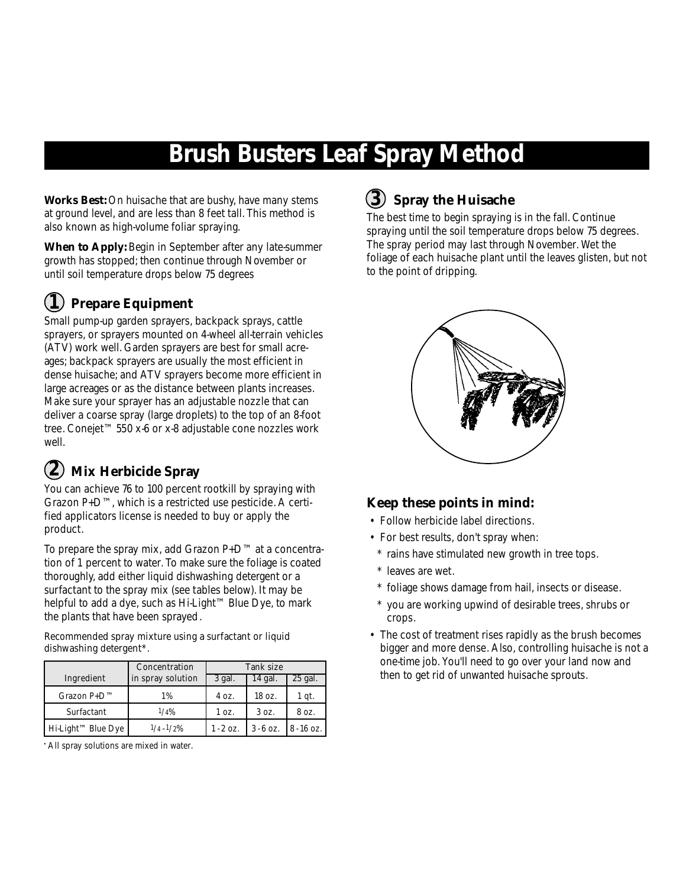## **Brush Busters Leaf Spray Method**

**Works Best:** On huisache that are bushy, have many stems at ground level, and are less than 8 feet tall. This method is also known as high-volume foliar spraying.

**When to Apply:** Begin in September after any late-summer growth has stopped; then continue through November or until soil temperature drops below 75 degrees

## $\bf \widehat{I}$ ) Prepare Equipment

Small pump-up garden sprayers, backpack sprays, cattle sprayers, or sprayers mounted on 4-wheel all-terrain vehicles (ATV) work well. Garden sprayers are best for small acreages; backpack sprayers are usually the most efficient in dense huisache; and ATV sprayers become more efficient in large acreages or as the distance between plants increases. Make sure your sprayer has an adjustable nozzle that can deliver a coarse spray (large droplets) to the top of an 8-foot tree. Conejet™ 550 x-6 or x-8 adjustable cone nozzles work well.

## **Mix Herbicide Spray 2**

You can achieve 76 to 100 percent rootkill by spraying with Grazon P+D™, which is a restricted use pesticide. A certified applicators license is needed to buy or apply the product.

To prepare the spray mix, add Grazon P+D™ at a concentration of 1 percent to water. To make sure the foliage is coated thoroughly, add either liquid dishwashing detergent or a surfactant to the spray mix (see tables below). It may be helpful to add a dye, such as Hi-Light™ Blue Dye, to mark the plants that have been sprayed.

Recommended spray mixture using a surfactant or liquid dishwashing detergent\*.

|                                | Concentration     | Tank size   |                   |              |
|--------------------------------|-------------------|-------------|-------------------|--------------|
| Ingredient                     | in spray solution | 3 gal.      | 14 gal.           | 25 gal.      |
| $Grazon P+D^{TM}$              | 1%                | 4 oz.       | $18 \text{ oz}$ . | 1 qt.        |
| Surfactant                     | 1/4%              | 1 oz.       | 30z               | 8 oz.        |
| Hi-Light <sup>™</sup> Blue Dye | $1/4 - 1/2\%$     | $1 - 2$ oz. | $3 - 6$ oz.       | $8 - 16$ oz. |

•All spray solutions are mixed in water.

## **3 Spray the Huisache**

The best time to begin spraying is in the fall. Continue spraying until the soil temperature drops below 75 degrees. The spray period may last through November. Wet the foliage of each huisache plant until the leaves glisten, but not to the point of dripping.



#### **Keep these points in mind:**

- Follow herbicide label directions.
- For best results, don't spray when:
- \* rains have stimulated new growth in tree tops.
- \* leaves are wet.
- \* foliage shows damage from hail, insects or disease.
- \* you are working upwind of desirable trees, shrubs or crops.
- The cost of treatment rises rapidly as the brush becomes bigger and more dense. Also, controlling huisache is not a one-time job. You'll need to go over your land now and then to get rid of unwanted huisache sprouts.